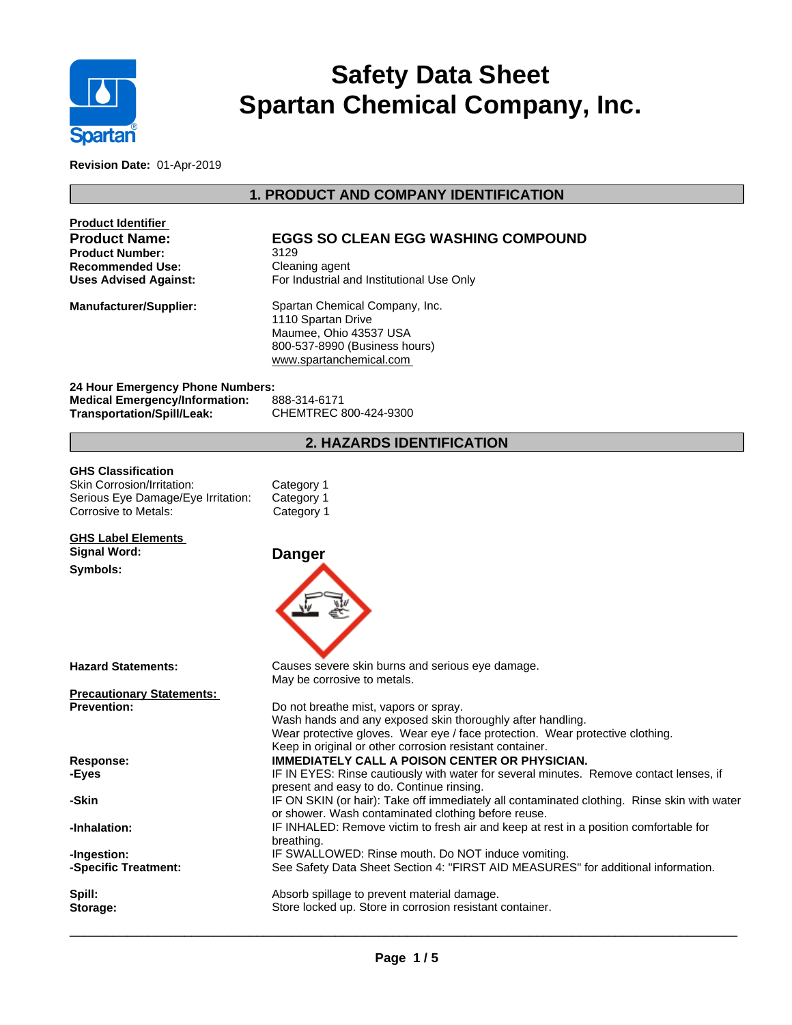

# **Safety Data Sheet Spartan Chemical Company, Inc.**

**Revision Date:** 01-Apr-2019

## **1. PRODUCT AND COMPANY IDENTIFICATION**

| <b>Product Identifier</b><br><b>Product Name:</b><br>Product Number:<br>Recommended Use:<br><b>Uses Advised Against:</b> | <b>EGGS SO CLEAN EGG WASHING COMPOUND</b><br>3129<br>Cleaning agent<br>For Industrial and Institutional Use Only                                                                                                                                 |  |  |  |
|--------------------------------------------------------------------------------------------------------------------------|--------------------------------------------------------------------------------------------------------------------------------------------------------------------------------------------------------------------------------------------------|--|--|--|
| <b>Manufacturer/Supplier:</b>                                                                                            | Spartan Chemical Company, Inc.<br>1110 Spartan Drive<br>Maumee, Ohio 43537 USA<br>800-537-8990 (Business hours)<br>www.spartanchemical.com                                                                                                       |  |  |  |
| 24 Hour Emergency Phone Numbers:<br><b>Medical Emergency/Information:</b><br>Transportation/Spill/Leak:                  | 888-314-6171<br>CHEMTREC 800-424-9300                                                                                                                                                                                                            |  |  |  |
|                                                                                                                          | <b>2. HAZARDS IDENTIFICATION</b>                                                                                                                                                                                                                 |  |  |  |
| <b>GHS Classification</b><br>Skin Corrosion/Irritation:<br>Serious Eye Damage/Eye Irritation:<br>Corrosive to Metals:    | Category 1<br>Category 1<br>Category 1                                                                                                                                                                                                           |  |  |  |
| <b>GHS Label Elements</b><br><b>Signal Word:</b><br>Symbols:                                                             | <b>Danger</b>                                                                                                                                                                                                                                    |  |  |  |
|                                                                                                                          |                                                                                                                                                                                                                                                  |  |  |  |
| Hazard Statements:                                                                                                       | Causes severe skin burns and serious eye damage.<br>May be corrosive to metals.                                                                                                                                                                  |  |  |  |
| <b>Precautionary Statements:</b><br><b>Prevention:</b>                                                                   | Do not breathe mist, vapors or spray.<br>Wash hands and any exposed skin thoroughly after handling.<br>Wear protective gloves. Wear eye / face protection. Wear protective clothing.<br>Keep in original or other corrosion resistant container. |  |  |  |
| <b>Response:</b><br>-Eyes                                                                                                | <b>IMMEDIATELY CALL A POISON CENTER OR PHYSICIAN.</b><br>IF IN EYES: Rinse cautiously with water for several minutes. Remove contact lenses, if<br>present and easy to do. Continue rinsing.                                                     |  |  |  |
| -Skin                                                                                                                    | IF ON SKIN (or hair): Take off immediately all contaminated clothing. Rinse skin with water<br>or shower. Wash contaminated clothing before reuse.                                                                                               |  |  |  |
| -Inhalation:                                                                                                             | IF INHALED: Remove victim to fresh air and keep at rest in a position comfortable for<br>breathing.                                                                                                                                              |  |  |  |
| -Ingestion:<br>-Specific Treatment:                                                                                      | IF SWALLOWED: Rinse mouth. Do NOT induce vomiting.<br>See Safety Data Sheet Section 4: "FIRST AID MEASURES" for additional information.                                                                                                          |  |  |  |
| Spill:<br>Storage:                                                                                                       | Absorb spillage to prevent material damage.<br>Store locked up. Store in corrosion resistant container.                                                                                                                                          |  |  |  |

 $\overline{\phantom{a}}$  ,  $\overline{\phantom{a}}$  ,  $\overline{\phantom{a}}$  ,  $\overline{\phantom{a}}$  ,  $\overline{\phantom{a}}$  ,  $\overline{\phantom{a}}$  ,  $\overline{\phantom{a}}$  ,  $\overline{\phantom{a}}$  ,  $\overline{\phantom{a}}$  ,  $\overline{\phantom{a}}$  ,  $\overline{\phantom{a}}$  ,  $\overline{\phantom{a}}$  ,  $\overline{\phantom{a}}$  ,  $\overline{\phantom{a}}$  ,  $\overline{\phantom{a}}$  ,  $\overline{\phantom{a}}$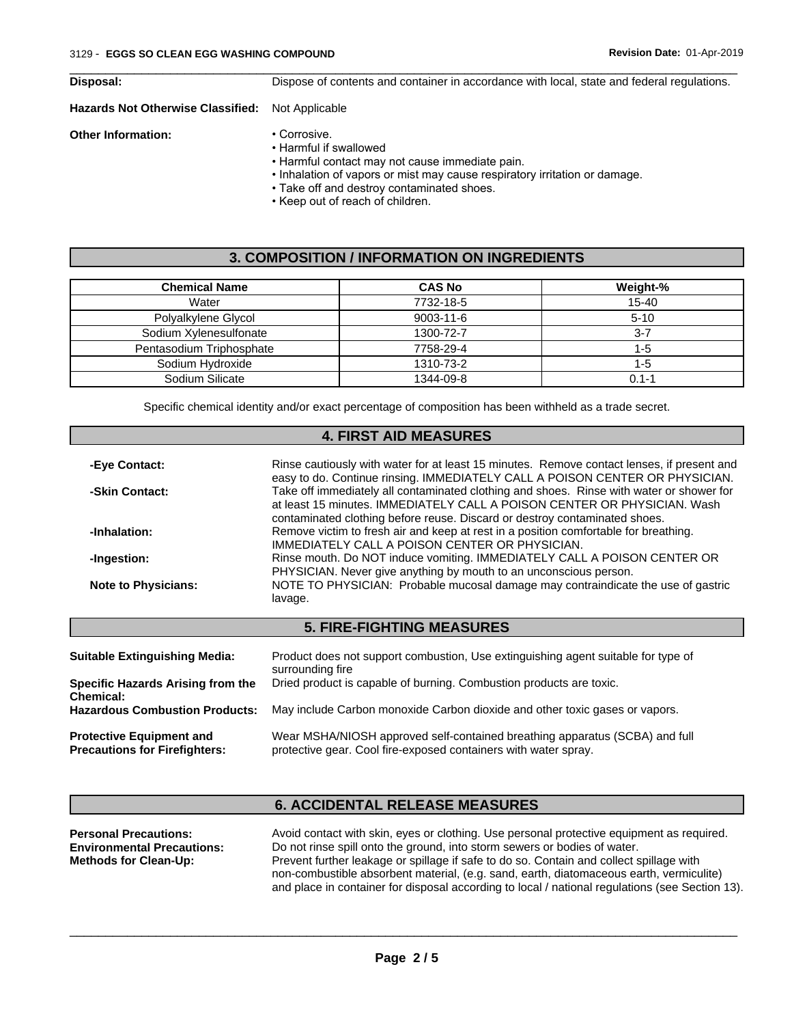| Disposal: |  |
|-----------|--|
|           |  |

 $\overline{\phantom{a}}$  ,  $\overline{\phantom{a}}$  ,  $\overline{\phantom{a}}$  ,  $\overline{\phantom{a}}$  ,  $\overline{\phantom{a}}$  ,  $\overline{\phantom{a}}$  ,  $\overline{\phantom{a}}$  ,  $\overline{\phantom{a}}$  ,  $\overline{\phantom{a}}$  ,  $\overline{\phantom{a}}$  ,  $\overline{\phantom{a}}$  ,  $\overline{\phantom{a}}$  ,  $\overline{\phantom{a}}$  ,  $\overline{\phantom{a}}$  ,  $\overline{\phantom{a}}$  ,  $\overline{\phantom{a}}$ **Disposal:** Dispose of contents and container in accordance with local, state and federal regulations.

#### **Hazards Not Otherwise Classified:** Not Applicable

**Other Information:** • Corrosive.

- Harmful if swallowed
- Harmful contact may not cause immediate pain.
- Inhalation of vapors or mist may cause respiratory irritation or damage.
- Take off and destroy contaminated shoes.
- Keep out of reach of children.

### **3. COMPOSITION / INFORMATION ON INGREDIENTS**

| <b>Chemical Name</b>     | <b>CAS No</b>   | Weight-% |
|--------------------------|-----------------|----------|
| Water                    | 7732-18-5       | 15-40    |
| Polyalkylene Glycol      | $9003 - 11 - 6$ | $5 - 10$ |
| Sodium Xylenesulfonate   | 1300-72-7       | $3 - 7$  |
| Pentasodium Triphosphate | 7758-29-4       | 1-5      |
| Sodium Hydroxide         | 1310-73-2       | 1-5      |
| Sodium Silicate          | 1344-09-8       | 0.1-1    |

Specific chemical identity and/or exact percentage of composition has been withheld as a trade secret.

## **4. FIRST AID MEASURES**

| -Eye Contact:              | Rinse cautiously with water for at least 15 minutes. Remove contact lenses, if present and<br>easy to do. Continue rinsing. IMMEDIATELY CALL A POISON CENTER OR PHYSICIAN.                                                                         |
|----------------------------|----------------------------------------------------------------------------------------------------------------------------------------------------------------------------------------------------------------------------------------------------|
| -Skin Contact:             | Take off immediately all contaminated clothing and shoes. Rinse with water or shower for<br>at least 15 minutes. IMMEDIATELY CALL A POISON CENTER OR PHYSICIAN. Wash<br>contaminated clothing before reuse. Discard or destroy contaminated shoes. |
| -Inhalation:               | Remove victim to fresh air and keep at rest in a position comfortable for breathing.<br>IMMEDIATELY CALL A POISON CENTER OR PHYSICIAN.                                                                                                             |
| -Ingestion:                | Rinse mouth. Do NOT induce vomiting. IMMEDIATELY CALL A POISON CENTER OR<br>PHYSICIAN. Never give anything by mouth to an unconscious person.                                                                                                      |
| <b>Note to Physicians:</b> | NOTE TO PHYSICIAN: Probable mucosal damage may contraindicate the use of gastric<br>lavage.                                                                                                                                                        |
|                            |                                                                                                                                                                                                                                                    |

## **5. FIRE-FIGHTING MEASURES**

| <b>Suitable Extinguishing Media:</b>                                    | Product does not support combustion, Use extinguishing agent suitable for type of<br>surrounding fire                                          |
|-------------------------------------------------------------------------|------------------------------------------------------------------------------------------------------------------------------------------------|
| Specific Hazards Arising from the<br><b>Chemical:</b>                   | Dried product is capable of burning. Combustion products are toxic.                                                                            |
| <b>Hazardous Combustion Products:</b>                                   | May include Carbon monoxide Carbon dioxide and other toxic gases or vapors.                                                                    |
| <b>Protective Equipment and</b><br><b>Precautions for Firefighters:</b> | Wear MSHA/NIOSH approved self-contained breathing apparatus (SCBA) and full<br>protective gear. Cool fire-exposed containers with water spray. |

## **6. ACCIDENTAL RELEASE MEASURES**

| <b>Personal Precautions:</b>      | Avoid contact with skin, eyes or clothing. Use personal protective equipment as required.       |
|-----------------------------------|-------------------------------------------------------------------------------------------------|
| <b>Environmental Precautions:</b> | Do not rinse spill onto the ground, into storm sewers or bodies of water.                       |
| <b>Methods for Clean-Up:</b>      | Prevent further leakage or spillage if safe to do so. Contain and collect spillage with         |
|                                   | non-combustible absorbent material, (e.g. sand, earth, diatomaceous earth, vermiculite)         |
|                                   | and place in container for disposal according to local / national regulations (see Section 13). |

 $\overline{\phantom{a}}$  ,  $\overline{\phantom{a}}$  ,  $\overline{\phantom{a}}$  ,  $\overline{\phantom{a}}$  ,  $\overline{\phantom{a}}$  ,  $\overline{\phantom{a}}$  ,  $\overline{\phantom{a}}$  ,  $\overline{\phantom{a}}$  ,  $\overline{\phantom{a}}$  ,  $\overline{\phantom{a}}$  ,  $\overline{\phantom{a}}$  ,  $\overline{\phantom{a}}$  ,  $\overline{\phantom{a}}$  ,  $\overline{\phantom{a}}$  ,  $\overline{\phantom{a}}$  ,  $\overline{\phantom{a}}$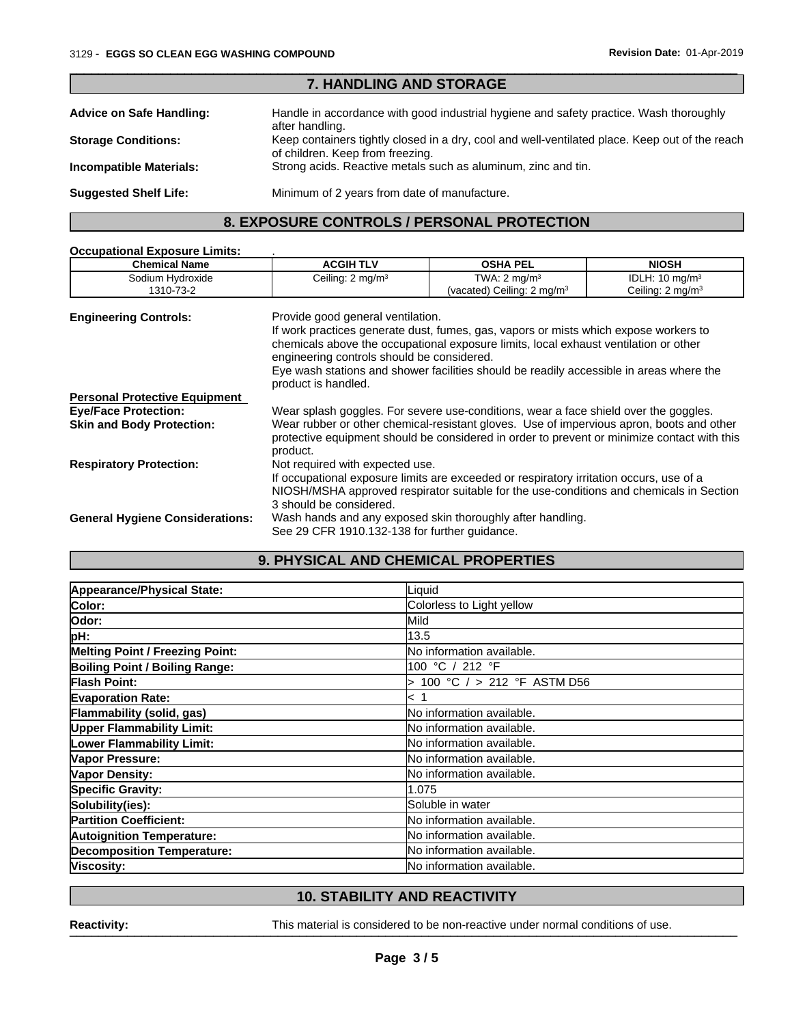| <b>7. HANDLING AND STORAGE</b>  |                                                                                                                                    |  |
|---------------------------------|------------------------------------------------------------------------------------------------------------------------------------|--|
| <b>Advice on Safe Handling:</b> | Handle in accordance with good industrial hygiene and safety practice. Wash thoroughly<br>after handling.                          |  |
| <b>Storage Conditions:</b>      | Keep containers tightly closed in a dry, cool and well-ventilated place. Keep out of the reach<br>of children. Keep from freezing. |  |
| <b>Incompatible Materials:</b>  | Strong acids. Reactive metals such as aluminum, zinc and tin.                                                                      |  |
| <b>Suggested Shelf Life:</b>    | Minimum of 2 years from date of manufacture.                                                                                       |  |
|                                 |                                                                                                                                    |  |

 $\overline{\phantom{a}}$  ,  $\overline{\phantom{a}}$  ,  $\overline{\phantom{a}}$  ,  $\overline{\phantom{a}}$  ,  $\overline{\phantom{a}}$  ,  $\overline{\phantom{a}}$  ,  $\overline{\phantom{a}}$  ,  $\overline{\phantom{a}}$  ,  $\overline{\phantom{a}}$  ,  $\overline{\phantom{a}}$  ,  $\overline{\phantom{a}}$  ,  $\overline{\phantom{a}}$  ,  $\overline{\phantom{a}}$  ,  $\overline{\phantom{a}}$  ,  $\overline{\phantom{a}}$  ,  $\overline{\phantom{a}}$ 

## **8. EXPOSURE CONTROLS / PERSONAL PROTECTION**

| <b>Occupational Exposure Limits:</b>   |                                                                                                                                                                                                               |                                                                                                                                                                                                                                                                         |                             |  |
|----------------------------------------|---------------------------------------------------------------------------------------------------------------------------------------------------------------------------------------------------------------|-------------------------------------------------------------------------------------------------------------------------------------------------------------------------------------------------------------------------------------------------------------------------|-----------------------------|--|
| <b>Chemical Name</b>                   | <b>ACGIH TLV</b>                                                                                                                                                                                              | <b>OSHA PEL</b>                                                                                                                                                                                                                                                         | <b>NIOSH</b>                |  |
| Sodium Hydroxide                       | Ceiling: 2 mg/m <sup>3</sup>                                                                                                                                                                                  | TWA: $2 \text{ mg/m}^3$                                                                                                                                                                                                                                                 | IDLH: $10 \text{ mg/m}^3$   |  |
| 1310-73-2                              |                                                                                                                                                                                                               | (vacated) Ceiling: $2 \text{ mg/m}^3$                                                                                                                                                                                                                                   | Ceiling: $2 \text{ mg/m}^3$ |  |
| <b>Engineering Controls:</b>           | Provide good general ventilation.<br>engineering controls should be considered.<br>product is handled.                                                                                                        | If work practices generate dust, fumes, gas, vapors or mists which expose workers to<br>chemicals above the occupational exposure limits, local exhaust ventilation or other<br>Eye wash stations and shower facilities should be readily accessible in areas where the |                             |  |
| <b>Personal Protective Equipment</b>   |                                                                                                                                                                                                               |                                                                                                                                                                                                                                                                         |                             |  |
| <b>Eye/Face Protection:</b>            | Wear splash goggles. For severe use-conditions, wear a face shield over the goggles.                                                                                                                          |                                                                                                                                                                                                                                                                         |                             |  |
| <b>Skin and Body Protection:</b>       | Wear rubber or other chemical-resistant gloves. Use of impervious apron, boots and other<br>protective equipment should be considered in order to prevent or minimize contact with this<br>product.           |                                                                                                                                                                                                                                                                         |                             |  |
| <b>Respiratory Protection:</b>         | Not required with expected use.                                                                                                                                                                               |                                                                                                                                                                                                                                                                         |                             |  |
|                                        | If occupational exposure limits are exceeded or respiratory irritation occurs, use of a<br>NIOSH/MSHA approved respirator suitable for the use-conditions and chemicals in Section<br>3 should be considered. |                                                                                                                                                                                                                                                                         |                             |  |
| <b>General Hygiene Considerations:</b> | Wash hands and any exposed skin thoroughly after handling.                                                                                                                                                    |                                                                                                                                                                                                                                                                         |                             |  |
|                                        | See 29 CFR 1910.132-138 for further quidance.                                                                                                                                                                 |                                                                                                                                                                                                                                                                         |                             |  |

## **9. PHYSICAL AND CHEMICAL PROPERTIES**

| Appearance/Physical State:             | Liquid                           |  |
|----------------------------------------|----------------------------------|--|
| Color:                                 | Colorless to Light yellow        |  |
| Odor:                                  | <b>I</b> Mild                    |  |
| pH:                                    | 13.5                             |  |
| <b>Melting Point / Freezing Point:</b> | <b>No information available.</b> |  |
| Boiling Point / Boiling Range:         | 100 °C / 212 °F                  |  |
| <b>Flash Point:</b>                    | 100 °C $/$ > 212 °F ASTM D56     |  |
| <b>Evaporation Rate:</b>               | k 1                              |  |
| Flammability (solid, gas)              | No information available.        |  |
| <b>Upper Flammability Limit:</b>       | <b>No information available.</b> |  |
| <b>Lower Flammability Limit:</b>       | No information available.        |  |
| Vapor Pressure:                        | <b>No information available.</b> |  |
| Vapor Density:                         | <b>No information available.</b> |  |
| Specific Gravity:                      | 1.075                            |  |
| Solubility(ies):                       | Soluble in water                 |  |
| <b>Partition Coefficient:</b>          | <b>No information available.</b> |  |
| <b>Autoignition Temperature:</b>       | <b>No information available.</b> |  |
| <b>Decomposition Temperature:</b>      | No information available.        |  |
| Viscosity:                             | No information available.        |  |

## **10. STABILITY AND REACTIVITY**

Reactivity: **Neactivity:** This material is considered to be non-reactive under normal conditions of use.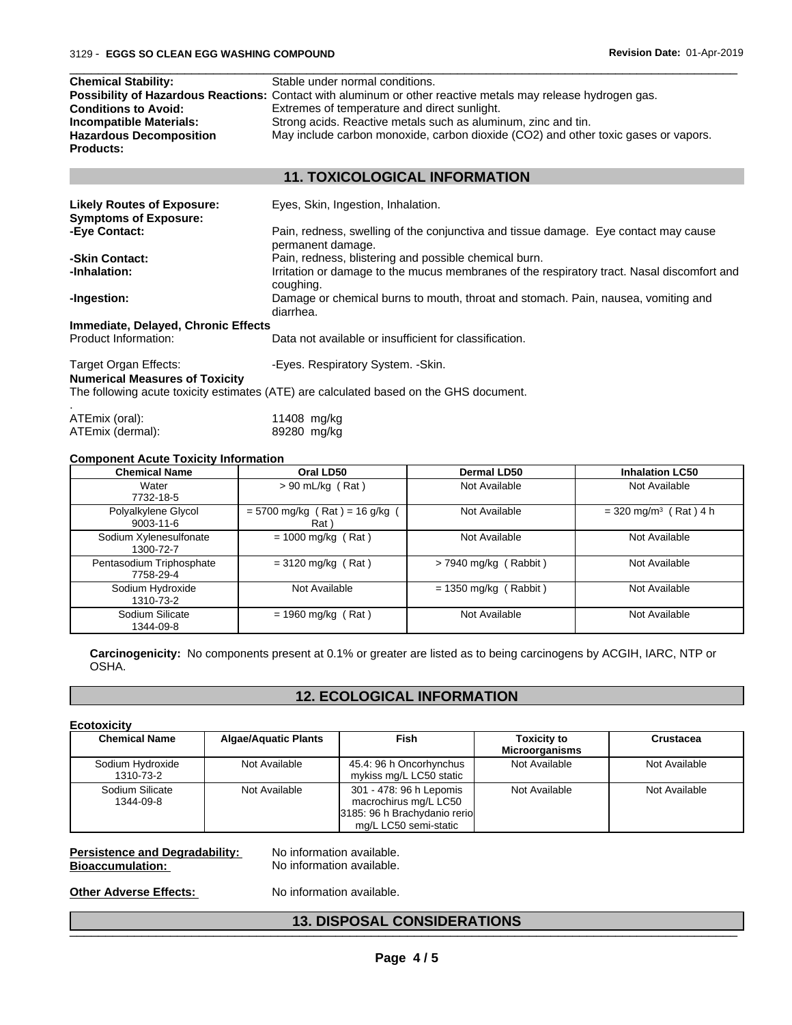| <b>Chemical Stability:</b><br>Stable under normal conditions.                                                                            |                                                                                                              |  |  |  |
|------------------------------------------------------------------------------------------------------------------------------------------|--------------------------------------------------------------------------------------------------------------|--|--|--|
|                                                                                                                                          | Possibility of Hazardous Reactions: Contact with aluminum or other reactive metals may release hydrogen gas. |  |  |  |
| Extremes of temperature and direct sunlight.<br><b>Conditions to Avoid:</b>                                                              |                                                                                                              |  |  |  |
| Strong acids. Reactive metals such as aluminum, zinc and tin.<br>Incompatible Materials:                                                 |                                                                                                              |  |  |  |
| May include carbon monoxide, carbon dioxide (CO2) and other toxic gases or vapors.<br><b>Hazardous Decomposition</b><br><b>Products:</b> |                                                                                                              |  |  |  |
| <b>11. TOXICOLOGICAL INFORMATION</b>                                                                                                     |                                                                                                              |  |  |  |

 $\overline{\phantom{a}}$  ,  $\overline{\phantom{a}}$  ,  $\overline{\phantom{a}}$  ,  $\overline{\phantom{a}}$  ,  $\overline{\phantom{a}}$  ,  $\overline{\phantom{a}}$  ,  $\overline{\phantom{a}}$  ,  $\overline{\phantom{a}}$  ,  $\overline{\phantom{a}}$  ,  $\overline{\phantom{a}}$  ,  $\overline{\phantom{a}}$  ,  $\overline{\phantom{a}}$  ,  $\overline{\phantom{a}}$  ,  $\overline{\phantom{a}}$  ,  $\overline{\phantom{a}}$  ,  $\overline{\phantom{a}}$ 

| <b>Likely Routes of Exposure:</b><br><b>Symptoms of Exposure:</b> | Eyes, Skin, Ingestion, Inhalation.                                                                       |  |  |  |
|-------------------------------------------------------------------|----------------------------------------------------------------------------------------------------------|--|--|--|
| -Eye Contact:                                                     | Pain, redness, swelling of the conjunctiva and tissue damage. Eye contact may cause<br>permanent damage. |  |  |  |
| -Skin Contact:                                                    | Pain, redness, blistering and possible chemical burn.                                                    |  |  |  |
| -Inhalation:                                                      | Irritation or damage to the mucus membranes of the respiratory tract. Nasal discomfort and<br>coughing.  |  |  |  |
| -Ingestion:                                                       | Damage or chemical burns to mouth, throat and stomach. Pain, nausea, vomiting and<br>diarrhea.           |  |  |  |
| Immediate, Delayed, Chronic Effects                               |                                                                                                          |  |  |  |
| Product Information:                                              | Data not available or insufficient for classification.                                                   |  |  |  |
| Target Organ Effects:<br><b>Numerical Measures of Toxicity</b>    | -Eyes. Respiratory System. - Skin.                                                                       |  |  |  |
|                                                                   | The following acute toxicity estimates (ATE) are calculated based on the GHS document.                   |  |  |  |
| ATEmix (oral):                                                    | 11408 mg/kg                                                                                              |  |  |  |

| ATEmix (oral):   |             | 11408 mg/kg |
|------------------|-------------|-------------|
| ATEmix (dermal): | 89280 mg/kg |             |

#### **Component Acute Toxicity Information**

| <b>Chemical Name</b>                   | Oral LD50<br>Dermal LD50                 |                         | <b>Inhalation LC50</b>              |
|----------------------------------------|------------------------------------------|-------------------------|-------------------------------------|
| Water<br>7732-18-5                     | $> 90$ mL/kg (Rat)                       | Not Available           | Not Available                       |
| Polyalkylene Glycol<br>$9003 - 11 - 6$ | $= 5700$ mg/kg (Rat) = 16 g/kg (<br>Rat) | Not Available           | $=$ 320 mg/m <sup>3</sup> (Rat) 4 h |
| Sodium Xylenesulfonate<br>1300-72-7    | $= 1000$ mg/kg (Rat)                     | Not Available           | Not Available                       |
| Pentasodium Triphosphate<br>7758-29-4  | $=$ 3120 mg/kg (Rat)                     | > 7940 mg/kg (Rabbit)   | Not Available                       |
| Sodium Hydroxide<br>1310-73-2          | Not Available                            | $= 1350$ mg/kg (Rabbit) | Not Available                       |
| Sodium Silicate<br>1344-09-8           | $= 1960$ mg/kg (Rat)                     | Not Available           | Not Available                       |

**Carcinogenicity:** No components present at 0.1% or greater are listed as to being carcinogens by ACGIH, IARC, NTP or OSHA.

## **12. ECOLOGICAL INFORMATION**

#### **Ecotoxicity**

| <b>Chemical Name</b>          | <b>Algae/Aquatic Plants</b> | Fish                                                                              | <b>Toxicity to</b>    | Crustacea     |
|-------------------------------|-----------------------------|-----------------------------------------------------------------------------------|-----------------------|---------------|
|                               |                             |                                                                                   | <b>Microorganisms</b> |               |
| Sodium Hydroxide<br>1310-73-2 | Not Available               | 45.4: 96 h Oncorhynchus<br>mykiss mg/L LC50 static                                | Not Available         | Not Available |
| Sodium Silicate<br>1344-09-8  | Not Available               | 301 - 478: 96 h Lepomis<br>macrochirus mg/L LC50<br>3185: 96 h Brachydanio reriol | Not Available         | Not Available |
|                               |                             | mg/L LC50 semi-static                                                             |                       |               |

# **Persistence and Degradability:** No information available.<br> **Bioaccumulation:** No information available.

**No information available.** 

**Other Adverse Effects:** No information available.

#### **13. DISPOSAL CONSIDERATIONS** \_\_\_\_\_\_\_\_\_\_\_\_\_\_\_\_\_\_\_\_\_\_\_\_\_\_\_\_\_\_\_\_\_\_\_\_\_\_\_\_\_\_\_\_\_\_\_\_\_\_\_\_\_\_\_\_\_\_\_\_\_\_\_\_\_\_\_\_\_\_\_\_\_\_\_\_\_\_\_\_\_\_\_\_\_\_\_\_\_\_\_\_\_